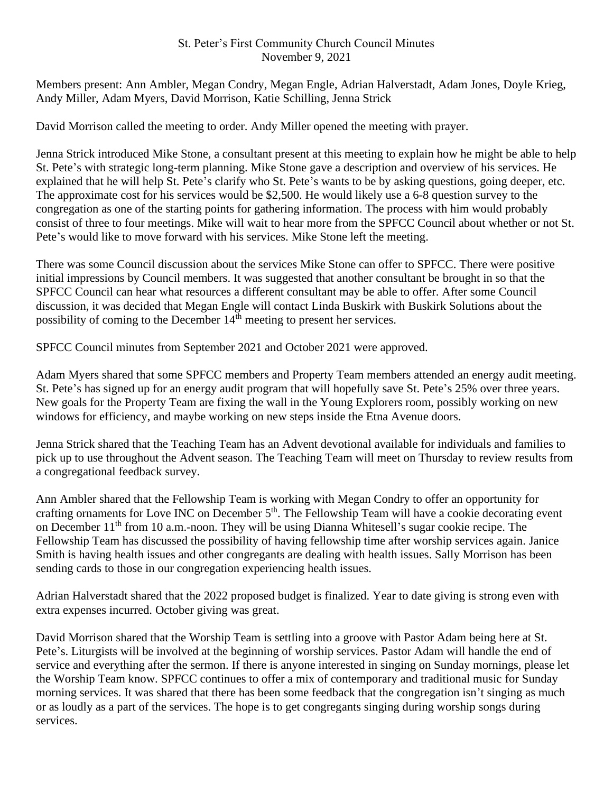## St. Peter's First Community Church Council Minutes November 9, 2021

Members present: Ann Ambler, Megan Condry, Megan Engle, Adrian Halverstadt, Adam Jones, Doyle Krieg, Andy Miller, Adam Myers, David Morrison, Katie Schilling, Jenna Strick

David Morrison called the meeting to order. Andy Miller opened the meeting with prayer.

Jenna Strick introduced Mike Stone, a consultant present at this meeting to explain how he might be able to help St. Pete's with strategic long-term planning. Mike Stone gave a description and overview of his services. He explained that he will help St. Pete's clarify who St. Pete's wants to be by asking questions, going deeper, etc. The approximate cost for his services would be \$2,500. He would likely use a 6-8 question survey to the congregation as one of the starting points for gathering information. The process with him would probably consist of three to four meetings. Mike will wait to hear more from the SPFCC Council about whether or not St. Pete's would like to move forward with his services. Mike Stone left the meeting.

There was some Council discussion about the services Mike Stone can offer to SPFCC. There were positive initial impressions by Council members. It was suggested that another consultant be brought in so that the SPFCC Council can hear what resources a different consultant may be able to offer. After some Council discussion, it was decided that Megan Engle will contact Linda Buskirk with Buskirk Solutions about the possibility of coming to the December  $14<sup>th</sup>$  meeting to present her services.

SPFCC Council minutes from September 2021 and October 2021 were approved.

Adam Myers shared that some SPFCC members and Property Team members attended an energy audit meeting. St. Pete's has signed up for an energy audit program that will hopefully save St. Pete's 25% over three years. New goals for the Property Team are fixing the wall in the Young Explorers room, possibly working on new windows for efficiency, and maybe working on new steps inside the Etna Avenue doors.

Jenna Strick shared that the Teaching Team has an Advent devotional available for individuals and families to pick up to use throughout the Advent season. The Teaching Team will meet on Thursday to review results from a congregational feedback survey.

Ann Ambler shared that the Fellowship Team is working with Megan Condry to offer an opportunity for crafting ornaments for Love INC on December 5<sup>th</sup>. The Fellowship Team will have a cookie decorating event on December 11<sup>th</sup> from 10 a.m.-noon. They will be using Dianna Whitesell's sugar cookie recipe. The Fellowship Team has discussed the possibility of having fellowship time after worship services again. Janice Smith is having health issues and other congregants are dealing with health issues. Sally Morrison has been sending cards to those in our congregation experiencing health issues.

Adrian Halverstadt shared that the 2022 proposed budget is finalized. Year to date giving is strong even with extra expenses incurred. October giving was great.

David Morrison shared that the Worship Team is settling into a groove with Pastor Adam being here at St. Pete's. Liturgists will be involved at the beginning of worship services. Pastor Adam will handle the end of service and everything after the sermon. If there is anyone interested in singing on Sunday mornings, please let the Worship Team know. SPFCC continues to offer a mix of contemporary and traditional music for Sunday morning services. It was shared that there has been some feedback that the congregation isn't singing as much or as loudly as a part of the services. The hope is to get congregants singing during worship songs during services.